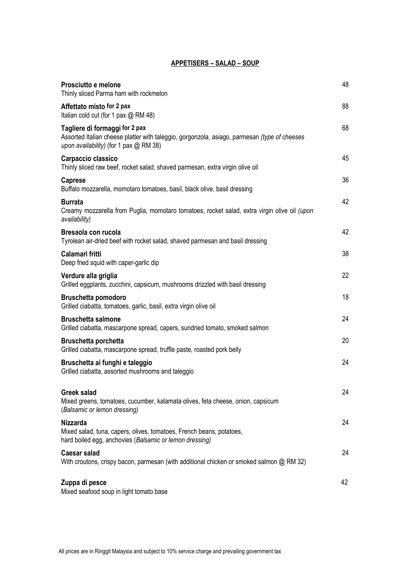#### **APPETISERS – SALAD – SOUP**

| Prosciutto e melone<br>Thinly sliced Parma ham with rockmelon                                                                                                            | 48 |
|--------------------------------------------------------------------------------------------------------------------------------------------------------------------------|----|
| Affettato misto for 2 pax<br>Italian cold cut (for 1 pax @ RM 48)                                                                                                        | 88 |
| Tagliere di formaggi for 2 pax<br>Assorted Italian cheese platter with taleggio, gorgonzola, asiago, parmesan (type of cheeses<br>upon availability) (for 1 pax @ RM 38) | 68 |
| Carpaccio classico<br>Thinly sliced raw beef, rocket salad, shaved parmesan, extra virgin olive oil                                                                      | 45 |
| <b>Caprese</b><br>Buffalo mozzarella, momotaro tomatoes, basil, black olive, basil dressing                                                                              | 36 |
| <b>Burrata</b><br>Creamy mozzarella from Puglia, momotaro tomatoes, rocket salad, extra virgin olive oil (upon<br>availability)                                          | 42 |
| Bresaola con rucola<br>Tyrolean air-dried beef with rocket salad, shaved parmesan and basil dressing                                                                     | 42 |
| Calamari fritti<br>Deep fried squid with caper-garlic dip                                                                                                                | 38 |
| Verdure alla griglia<br>Grilled eggplants, zucchini, capsicum, mushrooms drizzled with basil dressing                                                                    | 22 |
| <b>Bruschetta pomodoro</b><br>Grilled ciabatta, tomatoes, garlic, basil, extra virgin olive oil                                                                          | 18 |
| <b>Bruschetta salmone</b><br>Grilled ciabatta, mascarpone spread, capers, sundried tomato, smoked salmon                                                                 | 24 |
| <b>Bruschetta porchetta</b><br>Grilled ciabatta, mascarpone spread, truffle paste, roasted pork belly                                                                    | 20 |
| Bruschetta ai funghi e taleggio<br>Grilled ciabatta, assorted mushrooms and taleggio                                                                                     | 24 |
| Greek salad<br>Mixed greens, tomatoes, cucumber, kalamata olives, feta cheese, onion, capsicum<br>(Balsamic or lemon dressing)                                           | 24 |
| <b>Nizzarda</b><br>Mixed salad, tuna, capers, olives, tomatoes, French beans, potatoes,<br>hard boiled egg, anchovies (Balsamic or lemon dressing)                       | 24 |
| <b>Caesar salad</b><br>With croutons, crispy bacon, parmesan (with additional chicken or smoked salmon @ RM 32)                                                          | 24 |
| Zuppa di pesce<br>Mixed seafood soup in light tomato base                                                                                                                | 42 |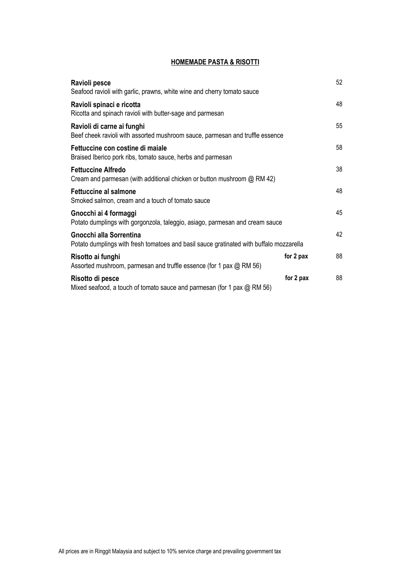# **HOMEMADE PASTA & RISOTTI**

| Ravioli pesce<br>Seafood ravioli with garlic, prawns, white wine and cherry tomato sauce                           |           | 52 |
|--------------------------------------------------------------------------------------------------------------------|-----------|----|
| Ravioli spinaci e ricotta<br>Ricotta and spinach ravioli with butter-sage and parmesan                             |           | 48 |
| Ravioli di carne ai funghi<br>Beef cheek ravioli with assorted mushroom sauce, parmesan and truffle essence        |           | 55 |
| Fettuccine con costine di maiale<br>Braised Iberico pork ribs, tomato sauce, herbs and parmesan                    |           | 58 |
| <b>Fettuccine Alfredo</b><br>Cream and parmesan (with additional chicken or button mushroom $\omega$ RM 42)        |           | 38 |
| <b>Fettuccine al salmone</b><br>Smoked salmon, cream and a touch of tomato sauce                                   |           | 48 |
| Gnocchi ai 4 formaggi<br>Potato dumplings with gorgonzola, taleggio, asiago, parmesan and cream sauce              |           | 45 |
| Gnocchi alla Sorrentina<br>Potato dumplings with fresh tomatoes and basil sauce gratinated with buffalo mozzarella |           | 42 |
| Risotto ai funghi<br>Assorted mushroom, parmesan and truffle essence (for 1 pax $\omega$ RM 56)                    | for 2 pax | 88 |
| Risotto di pesce<br>Mixed seafood, a touch of tomato sauce and parmesan (for 1 pax $\omega$ RM 56)                 | for 2 pax | 88 |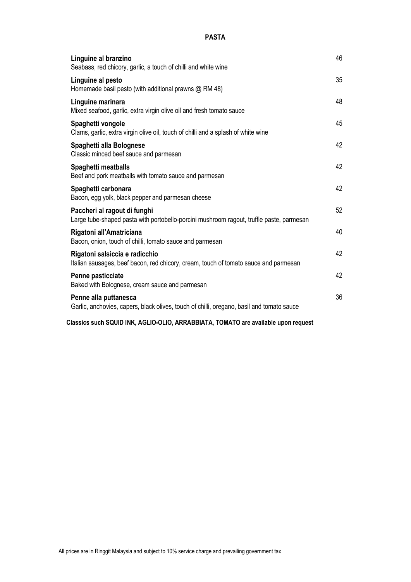### **PASTA**

| Linguine al branzino<br>Seabass, red chicory, garlic, a touch of chilli and white wine                                   | 46 |
|--------------------------------------------------------------------------------------------------------------------------|----|
| Linguine al pesto<br>Homemade basil pesto (with additional prawns @ RM 48)                                               | 35 |
| Linguine marinara<br>Mixed seafood, garlic, extra virgin olive oil and fresh tomato sauce                                | 48 |
| Spaghetti vongole<br>Clams, garlic, extra virgin olive oil, touch of chilli and a splash of white wine                   | 45 |
| Spaghetti alla Bolognese<br>Classic minced beef sauce and parmesan                                                       | 42 |
| Spaghetti meatballs<br>Beef and pork meatballs with tomato sauce and parmesan                                            | 42 |
| Spaghetti carbonara<br>Bacon, egg yolk, black pepper and parmesan cheese                                                 | 42 |
| Paccheri al ragout di funghi<br>Large tube-shaped pasta with portobello-porcini mushroom ragout, truffle paste, parmesan | 52 |
| Rigatoni all'Amatriciana<br>Bacon, onion, touch of chilli, tomato sauce and parmesan                                     | 40 |
| Rigatoni salsiccia e radicchio<br>Italian sausages, beef bacon, red chicory, cream, touch of tomato sauce and parmesan   | 42 |
| Penne pasticciate<br>Baked with Bolognese, cream sauce and parmesan                                                      | 42 |
| Penne alla puttanesca<br>Garlic, anchovies, capers, black olives, touch of chilli, oregano, basil and tomato sauce       | 36 |

 **Classics such SQUID INK, AGLIO-OLIO, ARRABBIATA, TOMATO are available upon request**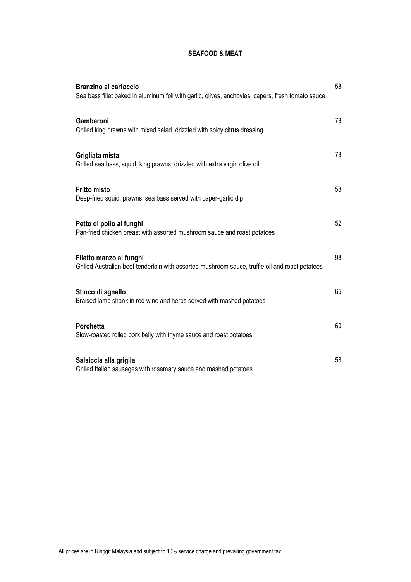## **SEAFOOD & MEAT**

| <b>Branzino al cartoccio</b><br>Sea bass fillet baked in aluminum foil with garlic, olives, anchovies, capers, fresh tomato sauce | 58 |
|-----------------------------------------------------------------------------------------------------------------------------------|----|
| Gamberoni<br>Grilled king prawns with mixed salad, drizzled with spicy citrus dressing                                            | 78 |
| Grigliata mista<br>Grilled sea bass, squid, king prawns, drizzled with extra virgin olive oil                                     | 78 |
| <b>Fritto misto</b><br>Deep-fried squid, prawns, sea bass served with caper-garlic dip                                            | 58 |
| Petto di pollo ai funghi<br>Pan-fried chicken breast with assorted mushroom sauce and roast potatoes                              | 52 |
| Filetto manzo ai funghi<br>Grilled Australian beef tenderloin with assorted mushroom sauce, truffle oil and roast potatoes        | 98 |
| Stinco di agnello<br>Braised lamb shank in red wine and herbs served with mashed potatoes                                         | 65 |
| <b>Porchetta</b><br>Slow-roasted rolled pork belly with thyme sauce and roast potatoes                                            | 60 |
| Salsiccia alla griglia<br>Grilled Italian sausages with rosemary sauce and mashed potatoes                                        | 58 |